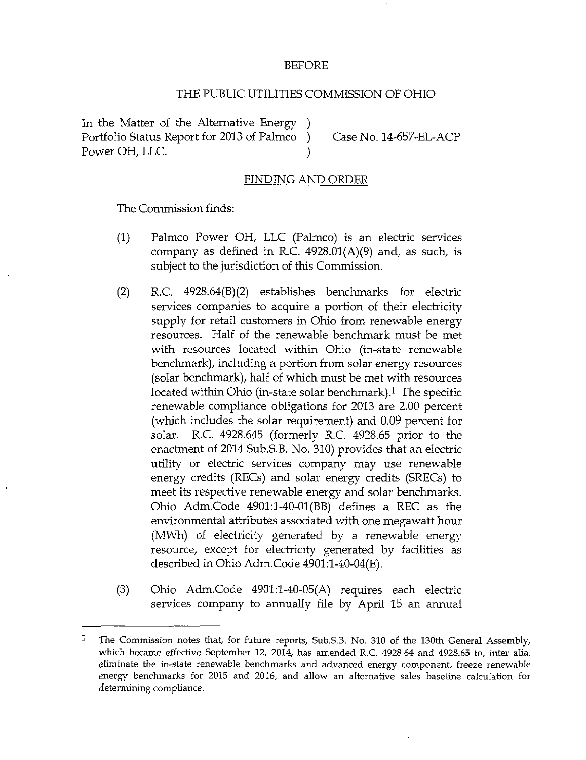## BEFORE

## THE PUBLIC UTILITIES COMMISSION OF OHIO

In the Matter of the Alternative Energy ) Portfolio Status Report for 2013 of Palmco ) Case No. 14-657-EL-ACP Power OH, LLC.

## **FINDING AND ORDER**

The Commission finds:

- (1) Palmco Power OH, LLC (Palmco) is an electric services company as defined in R.C.  $4928.01(A)(9)$  and, as such, is subject to the jurisdiction of this Commission.
- (2) R.C. 4928.64(B)(2) establishes benchmarks for electric services companies to acquire a portion of their electricity supply for retail customers in Ohio from renewable energy resources. Half of the renewable benchmark must be met with resources located within Ohio (in-state renewable benchmark), including a portion from solar energy resources (solar benchmark), half of which must be met with resources located within Ohio (in-state solar benchmark).<sup>1</sup> The specific renewable compliance obligations for 2013 are 2.00 percent (which includes the solar requirement) and 0.09 percent for solar. R.C. 4928.645 (formeriy R.C. 4928.65 prior to the enactment of 2014 Sub.S.B. No. 310) provides that an electric utility or electric services company may use renewable energy credits (RECs) and solar energy credits (SRECs) to meet its respective renewable energy and solar benchmarks. Ohio Adm.Code 4901:1-40-01(BB) defines a REC as the environmental attributes associated with one megawatt hour (MWh) of electricity generated by a renewable energy resource, except for electricity generated by facilities as described in Ohio Adm.Code 4901:l-40-04(E).
- (3) Ohio Adm.Code 4901:l-40-05(A) requires each electric services company to annually file by April 15 an annual

<sup>1</sup> The Commission notes that, for future reports, Sub.S.B. No. 310 of the 130th General Assembly, which became effective September 12, 2014, has amended R.C. 4928.64 and 4928.65 to, inter alia, eliminate the in-state renewable benchmarks and advanced energy component, freeze renewable energy benchmarks for 2015 and 2016, and allow an alternative sales baseline calculation for determining compliance.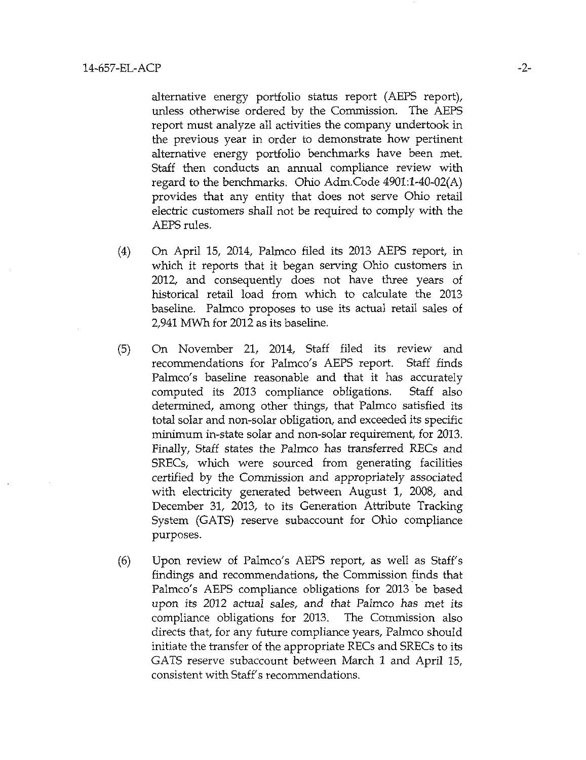alternative energy portfolio status report (AEPS report), unless otherwise ordered by the Commission. The AEPS report must analyze all activities the company undertook in the previous year in order to demonstrate how pertinent alternative energy portfolio benchmarks have been met. Staff then conducts an annual compliance review with regard to the benchmarks. Ohio Adm.Code 4901:l-40-02(A) provides that any entity that does not serve Ohio retail electric customers shall not be required to comply with the AEPS rules.

- (4) On April 15, 2014, Palmco filed its 2013 AEPS report, in which it reports that it began serving Ohio customers in 2012, and consequently does not have three years of historical retail load from which to calculate the 2013 baseline. Palmco proposes to use its actual retail sales of 2,941 MWh for 2012 as its baseline.
- (5) On November 21, 2014, Staff filed its review and recommendations for Palmco's AEPS report. Staff finds Palmco's baseline reasonable and that it has accurately computed its 2013 compliance obligations. Staff also determined, among other things, that Palmco satisfied its total solar and non-solar obligation, and exceeded its specific minimum in-state solar and non-solar requirement, for 2013. Finally, Staff states the Palmco has transferred RECs and SRECs, which were sourced from generating facilities certified by the Commission and appropriately associated with electricity generated between August 1, 2008, and December 31, 2013, to its Generation Attribute Tracking System (GATS) reserve subaccount for Ohio compliance purposes.
- (6) Upon review of Palmco's AEPS report, as well as Staff's findings and recommendations, the Commission finds that Palmco's AEPS compliance obligations for 2013 be based upon its 2012 actual sales, and that Palmco has met its compliance obligations for 2013. The Commission also directs that, for any future compliance years, Palmco should initiate the transfer of the appropriate RECs and SRECs to its GATS reserve subaccount between March 1 and April 15, consistent with Staff's recommendations.